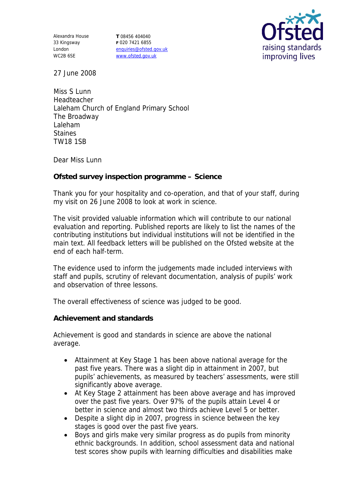Alexandra House 33 Kingsway London WC2B 6SE

**T** 08456 404040 **F** 020 7421 6855 enquiries@ofsted.gov.uk www.ofsted.gov.uk



27 June 2008

Miss S Lunn Headteacher Laleham Church of England Primary School The Broadway Laleham Staines TW18 1SB

Dear Miss Lunn

**Ofsted survey inspection programme – Science**

Thank you for your hospitality and co-operation, and that of your staff, during my visit on 26 June 2008 to look at work in science.

The visit provided valuable information which will contribute to our national evaluation and reporting. Published reports are likely to list the names of the contributing institutions but individual institutions will not be identified in the main text. All feedback letters will be published on the Ofsted website at the end of each half-term.

The evidence used to inform the judgements made included interviews with staff and pupils, scrutiny of relevant documentation, analysis of pupils' work and observation of three lessons.

The overall effectiveness of science was judged to be good.

**Achievement and standards** 

Achievement is good and standards in science are above the national average.

- Attainment at Key Stage 1 has been above national average for the past five years. There was a slight dip in attainment in 2007, but pupils' achievements, as measured by teachers' assessments, were still significantly above average.
- At Key Stage 2 attainment has been above average and has improved over the past five years. Over 97% of the pupils attain Level 4 or better in science and almost two thirds achieve Level 5 or better.
- Despite a slight dip in 2007, progress in science between the key stages is good over the past five years.
- Boys and girls make very similar progress as do pupils from minority ethnic backgrounds. In addition, school assessment data and national test scores show pupils with learning difficulties and disabilities make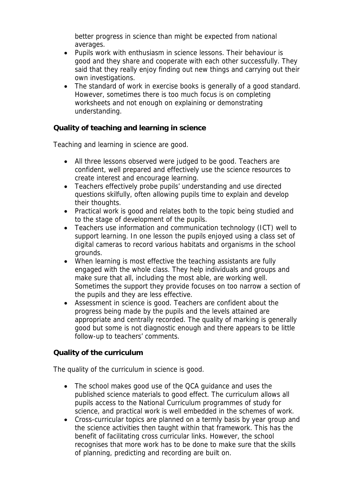better progress in science than might be expected from national averages.

- Pupils work with enthusiasm in science lessons. Their behaviour is good and they share and cooperate with each other successfully. They said that they really enjoy finding out new things and carrying out their own investigations.
- The standard of work in exercise books is generally of a good standard. However, sometimes there is too much focus is on completing worksheets and not enough on explaining or demonstrating understanding.

**Quality of teaching and learning in science**

Teaching and learning in science are good.

- All three lessons observed were judged to be good. Teachers are confident, well prepared and effectively use the science resources to create interest and encourage learning.
- Teachers effectively probe pupils' understanding and use directed questions skilfully, often allowing pupils time to explain and develop their thoughts.
- Practical work is good and relates both to the topic being studied and to the stage of development of the pupils.
- Teachers use information and communication technology (ICT) well to support learning. In one lesson the pupils enjoyed using a class set of digital cameras to record various habitats and organisms in the school grounds.
- When learning is most effective the teaching assistants are fully engaged with the whole class. They help individuals and groups and make sure that all, including the most able, are working well. Sometimes the support they provide focuses on too narrow a section of the pupils and they are less effective.
- Assessment in science is good. Teachers are confident about the progress being made by the pupils and the levels attained are appropriate and centrally recorded. The quality of marking is generally good but some is not diagnostic enough and there appears to be little follow-up to teachers' comments.

## **Quality of the curriculum**

The quality of the curriculum in science is good.

- The school makes good use of the QCA guidance and uses the published science materials to good effect. The curriculum allows all pupils access to the National Curriculum programmes of study for science, and practical work is well embedded in the schemes of work.
- Cross-curricular topics are planned on a termly basis by year group and the science activities then taught within that framework. This has the benefit of facilitating cross curricular links. However, the school recognises that more work has to be done to make sure that the skills of planning, predicting and recording are built on.